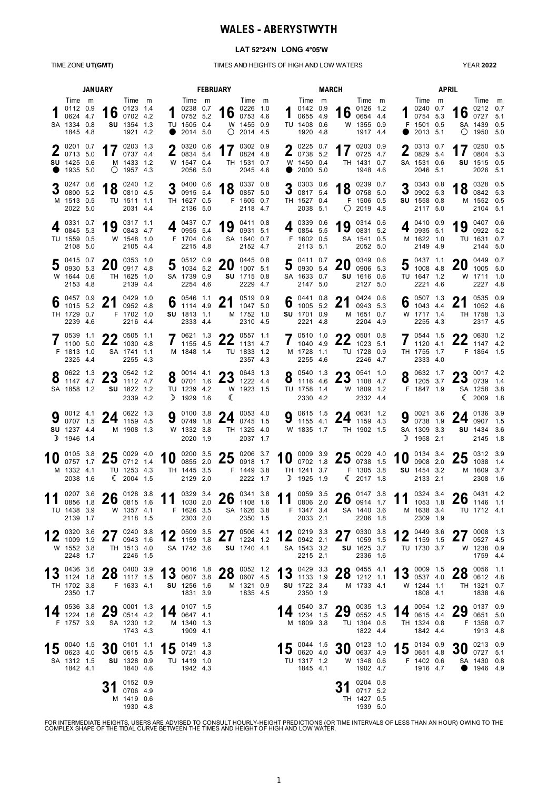# **WALES - ABERYSTWYTH**

### **LAT 52°24'N LONG 4°05'W**

### TIME ZONE **UT(GMT)** TIMES AND HEIGHTS OF HIGH AND LOW WATERS

YEAR **2022**

|   | <b>JANUARY</b>                                                       |  |                                                             |                                                 |  |                                                                                                                                                                                                                   |                                                                                   | <b>FEBRUARY</b>                                            |                                                                   |                  |                                                                                            | <b>MARCH</b> |                                                                                       |                                                        | <b>APRIL</b> |                            |                                                                                   |  |                                     |                                                                  |     |
|---|----------------------------------------------------------------------|--|-------------------------------------------------------------|-------------------------------------------------|--|-------------------------------------------------------------------------------------------------------------------------------------------------------------------------------------------------------------------|-----------------------------------------------------------------------------------|------------------------------------------------------------|-------------------------------------------------------------------|------------------|--------------------------------------------------------------------------------------------|--------------|---------------------------------------------------------------------------------------|--------------------------------------------------------|--------------|----------------------------|-----------------------------------------------------------------------------------|--|-------------------------------------|------------------------------------------------------------------|-----|
|   | Time m<br>0112 0.9<br>0624 4.7<br>SA 1334 0.8<br>1845 4.8            |  | 16 $^{0123}$ 1.4                                            | Time m<br>SU 1354 1.3<br>1921 4.2               |  |                                                                                                                                                                                                                   | Time m<br>102380.7<br>$\frac{1}{2}$ 0752 5.2<br>TU 1505 0.4<br>$\bullet$ 2014 5.0 |                                                            | Time m<br>16 $^{0226}$ 1.0 $^{1.0}$<br>W 1455 0.9<br>$O$ 2014 4.5 |                  | Time m<br>$101420.9$<br>0655 4.9<br>TU 1408 0.6<br>1920 4.8                                |              |                                                                                       | Time m<br>16 $^{0126}$ 1.2<br>W 1355 0.9<br>1917 4.4   |              |                            | Time m<br>102400.7<br>$\blacksquare$ 0754 5.3<br>F 1501 0.5<br>$\bullet$ 2013 5.1 |  |                                     | Time m<br>16 $^{0212}$ 0.7<br>SA 1439 0.5<br>$\bigcirc$ 1950 5.0 |     |
|   | 0713 5.0<br>SU 1425 0.6<br>1935 5.0                                  |  | 2 $\frac{0201}{0713}$ 5.0 17 $\frac{0203}{0737}$ 4.4        | 0737 4.4<br>M 1433 1.2<br>$O$ 1957 4.3          |  |                                                                                                                                                                                                                   | $2^{032000.6}_{08345.4}$<br>W 1547 0.4<br>2056 5.0                                | 17 $^{0302}$ 0.9                                           | TH 1531 0.7<br>2045 4.6                                           |                  | $2^{0225}$ 0.7<br>0738 5.2<br>W 1450 0.4<br>2000 5.0                                       |              |                                                                                       | 17 $^{0203}$ 0.9<br>TH 1431 0.7<br>1948 4.6            |              |                            | $\bullet$ 0313 0.7<br>$\frac{2}{10829}$ 5.4<br>SA 1531 0.6<br>2046 5.1            |  | 17                                  | 0250 0.5<br>0804 5.3<br>SU 1515 0.5<br>2026 5.1                  |     |
|   | 0247 0.6<br>3 $\frac{0247}{0800}$ 5.2<br>M 1513 0.5<br>2022 5.0      |  |                                                             | 18 $0240$ 1.2<br>TU 1511 1.1<br>2031 4.4        |  |                                                                                                                                                                                                                   | 3 $^{0400}$ 0.6 0915 5.4<br>TH 1627 0.5<br>2136 5.0                               |                                                            | 18 $^{0337}$ 0.8 0857 5.0<br>F 1605 0.7<br>2118 4.7               |                  | $3^{0303}_{0817}$ 5.4<br>TH 1527 0.4<br>2038 5.1                                           |              |                                                                                       | 18 $0239$ 0.7<br>F 1506 0.5<br>$O$ 2019 4.8            |              |                            | 903430.8<br>$\frac{3}{2}$ 0902 5.3<br>SU 1558 0.8<br>2117 5.0                     |  |                                     | 18 $^{0328}$ 0.5<br>M 1552 0.5<br>2104 5.1                       |     |
|   | 0331 0.7<br>4 $0845$ 5.3<br>TU 1559 0.5<br>2108 5.0                  |  |                                                             | 19 $^{0317}$ 1.1<br>W 1548 1.0<br>2105 4.4      |  |                                                                                                                                                                                                                   | 4 $^{0437}$ 0.7<br>0955 5.4<br>F 1704 0.6<br>2215 4.8                             |                                                            | $19$ 0411 0.8<br>SA 1640 0.7<br>2152 4.7                          |                  | $4^{033900.6}_{08545.5}$<br>F 1602 0.5<br>2113 5.1                                         |              |                                                                                       | $19$ $0314$ $0.6$ 0.831 5.2<br>SA 1541 0.5<br>2052 5.0 |              |                            | 4 $^{0410}$ 0.9<br>0935 5.1<br>M 1622 1.0<br>2149 4.9                             |  |                                     | 19 $^{0407}$ 0.6<br>TU 1631 0.7<br>2144 5.0                      |     |
|   | 0415 0.7<br>0930 5.3<br>W 1644 0.6<br>2153 4.8                       |  | 20                                                          | 0353 1.0<br>0917 4.8<br>TH 1625 1.0<br>2139 4.4 |  |                                                                                                                                                                                                                   | 5 $\frac{0512}{1034}$ 5.2<br>1034 5.2<br>SA 1739 0.9<br>2254 4.6                  | 20                                                         | 0445 0.8<br>1007 5.1<br>SU 1715 0.8<br>2229 4.7                   |                  | $50411$ 0.7<br>$\bigcup$ 0930 5.4<br>SA 1633 0.7<br>2147 5.0                               |              | 20                                                                                    | 0349 0.6<br>0906 5.3<br>SU 1616 0.6<br>2127 5.0        |              |                            | 5 $\frac{0437}{1008}$ 4.8<br>TU 1647 1.2<br>2221 4.6                              |  | 20                                  | 0449 0.7<br>1005 5.0<br>W 1711 1.0<br>2227 4.8                   |     |
| 6 | 0457 0.9<br>1015 5.2<br>TH 1729 0.7<br>2239 4.6                      |  | 21                                                          | 0429 1.0<br>0952 4.8<br>F 1702 1.0<br>2216 4.4  |  |                                                                                                                                                                                                                   | 6 $\frac{0546}{1114}$ 1.1<br><b>SU</b> 1813 1.1<br>2333 4.4                       |                                                            | 21 $^{0519}$ 0.9<br>M 1752 1.0<br>2310 4.5                        |                  | 6 $^{0441}$ 0.8<br>1005 5.2<br>SU 1701 0.9<br>2221 4.8                                     |              | 21                                                                                    | 0424 0.6<br>0943 5.3<br>M 1651 0.7<br>2204 4.9         |              | b                          | $\bullet$ 0507 1.3<br>1043 4.4<br>W 1717 1.4<br>2255 4.3                          |  | 21                                  | 0535 0.9<br>1052 4.6<br>TH 1758 1.3<br>2317 4.5                  |     |
|   | 110050<br>F 1813 1.0<br>2325 4.4                                     |  | $70539$ 1.1 $220505$ 1.1<br>$22_{103048}$                   | SA 1741 1.1<br>2255 4.3                         |  |                                                                                                                                                                                                                   | $7^{0621}$ 1.3<br>1155 4.5<br>M 1848 1.4                                          | $22$ 0557 1.1<br>$22$ 1131 4.7<br>TU 1833 1.2              | 2357 4.3                                                          |                  | $7^{0510}$ 1.0<br>1040 4.9<br>M 1728 1.1<br>2255 4.6                                       |              | 22.05010.8<br>$22_{1023}$ 5.1                                                         | TU 1728 0.9<br>2246 4.7                                |              | $\mathbf{I}$               | $70544$ 1.5<br>1120 4.1<br>TH 1755 1.7<br>2333 4.0                                |  | $20.0630$ 1.2                       | $22$ 1147 4.2<br>F 1854 1.5                                      |     |
|   | $2^{0622}$ 1.3<br>1147 4.7<br>SA 1858 1.2                            |  | $22^{0542}$ 1.2<br>$25$ 1112 4.7                            | SU 1822 1.2<br>2339 4.2                         |  |                                                                                                                                                                                                                   | $2^{0014}$ 4.1<br>$0$ 0701 1.6<br>TU 1239 4.2<br>$D$ 1929 1.6                     | 23 $^{0643}$ 1.3<br>ℂ                                      | W 1923 1.5                                                        |                  | <b>8</b> $\begin{matrix} 0540 & 1.3 \\ 1116 & 4.6 \end{matrix}$<br>TU 1758 1.4<br>2330 4.2 |              | 23 $^{0541}$ 1.0                                                                      | W 1809 1.2<br>2332 4.4                                 |              |                            | $0.0632$ 1.7<br>$0 \t1205 \t3.7$<br>F 1847 1.9                                    |  |                                     | <b>0017 4.2</b><br>25073914<br>SA 1258 3.8<br>(2009 1.8          |     |
|   | SU 1237 4.4<br>$D$ 1946 1.4                                          |  | 9 $\frac{0012}{0707}$ 1.5 <b>24</b> $\frac{0622}{1159}$ 4.5 | M 1908 1.3                                      |  |                                                                                                                                                                                                                   | 9 $\frac{0100}{0749}$ 1.8<br>W 1332 3.8<br>2020 1.9                               | 24 $^{0053}$ 4.0                                           | TH 1325 4.0<br>2037 1.7                                           |                  |                                                                                            |              | 9 $\frac{0615}{1155}$ 4.1 <b>24</b> $\frac{0631}{1159}$ 4.3<br>W 1835 1.7 TH 1902 1.5 |                                                        |              | $\mathcal{D}$              | 9 $\frac{0021}{0738}$ 1.9<br>SA 1309 3.3<br>1958 2.1                              |  | 24 $^{0136}$ 3.9                    | SU 1434 3.6<br>2145 1.8                                          |     |
|   | 0105 3.8<br>M 1332 4.1<br>2038 1.6                                   |  | <b>25</b> 0029 4.0<br>0757 1.7 $\blacktriangle$ 0712 1.4    | TU 1253 4.3<br>(2004, 1.5)                      |  | 10 $^{0200}$ 3.5                                                                                                                                                                                                  | TH 1445 3.5<br>2129 2.0                                                           | 0200 3.5 25 0206 3.7 10 0009 3.9 25 0029 4.0<br>F 1449 3.8 | 2222 1.7                                                          |                  | D 1925 1.9                                                                                 |              | TH 1241 3.7 F 1305 3.8                                                                | ◯ 2017 1.8                                             |              | 10 $^{0134}$ 3.4           | SU 1454 3.2<br>2133 2.1                                                           |  |                                     | <b>25</b> 0312 3.9<br>$25$ 1038 1.4<br>M 1609 3.7<br>2308        | 1.6 |
|   | TU 1438 3.9<br>2139 1.7                                              |  |                                                             | W 1357 4.1<br>2118 1.5                          |  | $^{0207}$ 3.6 <b>26</b> $^{0128}$ 3.8 <b>11</b> $^{0329}$ 3.4 <b>26</b> $^{0341}$ 3.8 <b>11</b> $^{0059}$ 3.5 <b>26</b> $^{0147}$ 3.8 <b>11</b> $^{0324}$ 3.4 <b>26</b> $^{0431}$ $^{4.2}$ 3.6 $^{0431}$ $^{4.2}$ | F 1626 3.5<br>2303 2.0                                                            |                                                            | SA 1626 3.8<br>2350 1.5                                           |                  | F 1347 3.4<br>2033 2.1                                                                     |              |                                                                                       | SA 1440 3.6<br>2206 1.8                                |              |                            | M 1638 3.4<br>2309 1.9                                                            |  |                                     | TU 1712 4.1                                                      |     |
|   | $42^{\,0320}$ 3.6<br>$\mathbf{L}$ 1009 1.9<br>W 1552 3.8<br>2248 1.7 |  | 27 $^{0240}$ 3.8                                            | TH 1513 4.0<br>2246 1.5                         |  |                                                                                                                                                                                                                   |                                                                                   | 12 0509 3.5 27 0506 4.1<br>SA 1742 3.6 <b>SU</b> 1740 4.1  |                                                                   | 12 $^{0219}$ 3.3 | SA 1543 3.2<br>2215 2.1                                                                    |              | 27 $^{0330}$ 3.8                                                                      | SU 1625 3.7<br>2336 1.6                                |              |                            | $4 \bullet 0449 3.6$<br>$12$ 1159 1.5<br>TU 1730 3.7                              |  |                                     | $270008$ 1.3<br>$\mathbf{21}$ 0527 4.5<br>W 1238 0.9<br>1759 4.4 |     |
|   | TH 1702 3.8<br>2350 1.7                                              |  | 13 3436 3.6 28 3400 3.9<br>F 1633 4.1                       |                                                 |  |                                                                                                                                                                                                                   | SU 1256 1.6<br>1831 3.9                                                           | 13 0016 1.8 28 0052 1.2                                    | M 1321 0.9<br>1835 4.5                                            |                  | <b>SU</b> 1722 3.4<br>2350 1.9                                                             |              | 13 0429 3.3 28 0455 4.1                                                               | M 1733 4.1                                             |              | 13 $\frac{0009}{0537}$ 4.0 | W 1244 1.1<br>1808 4.1                                                            |  | <b>22</b> 0056 1.1<br>$20$ 0612 4.8 | TH 1321 0.7<br>1838 4.6                                          |     |
|   | 0536 3.8<br><b>14</b> $1224$ 1.6<br>F 1757 3.9                       |  | 29 $^{0001}$ 1.3                                            | SA 1230 1.2<br>1743 4.3                         |  |                                                                                                                                                                                                                   | 0107 1.5<br>14 $\frac{0.107}{0647}$ 4.1<br>M 1340 1.3<br>1909 4.1                 |                                                            |                                                                   |                  | 0540 3.7<br><b>14</b> $1234$ 1.5<br>M 1809 3.8                                             |              | 29 $^{0035}$ 1.3                                                                      | TU 1304 0.8<br>1822 4.4                                |              |                            | 0054 1.2<br>$14$ 0615 4.4<br>TH 1324 0.8<br>1842 4.4                              |  |                                     | $29$ $^{0137}$ $^{0.9}$<br>F 1358 0.7<br>1913 4.8                |     |
|   | 15 $^{0040}$ $^{1.5}_{0623}$ 4.0<br>SA 1312 1.5<br>1842 4.1          |  | 30 $^{0101}$ 1.1                                            | SU 1328 0.9<br>1840 4.6                         |  |                                                                                                                                                                                                                   | 15 $^{0149}$ 1.3<br>TU 1419 1.0<br>1942 4.3                                       |                                                            |                                                                   |                  | 15 $^{0044}$ 1.5<br>TU 1317 1.2<br>1845 4.1                                                |              |                                                                                       | $30$ $^{0123}$ $^{1.0}$<br>W 1348 0.6<br>1902 4.7      |              |                            | $15$ $^{0134}$ $^{0.9}$<br>F 1402 0.6<br>1916 4.7                                 |  | 30 $^{0213}_{0727}$ 5.1             | SA 1430 0.8<br>• 1946 4.9                                        |     |
|   |                                                                      |  |                                                             | 0152 0.9<br>0706 4.9<br>M 1419 0.6<br>1930 4.8  |  |                                                                                                                                                                                                                   |                                                                                   |                                                            |                                                                   |                  |                                                                                            |              |                                                                                       | 0204 0.8<br>0717 5.2<br>TH 1427 0.5<br>1939 5.0        |              |                            |                                                                                   |  |                                     |                                                                  |     |

FOR INTERMEDIATE HEIGHTS, USERS ARE ADVISED TO CONSULT HOURLY-HEIGHT PREDICTIONS (OR TIME INTERVALS OF LESS THAN AN HOUR) OWING TO THE<br>COMPLEX SHAPE OF THE TIDAL CURVE BETWEEN THE TIMES AND HEIGHT OF HIGH AND LOW WATER.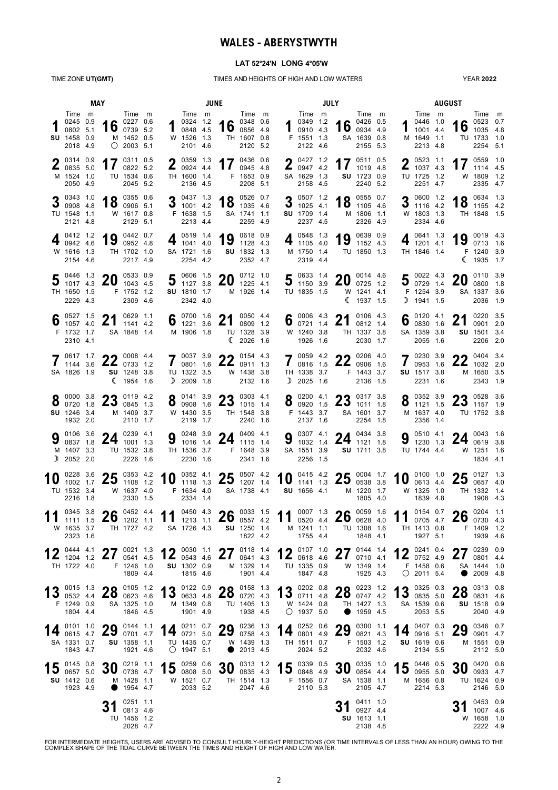## **WALES - ABERYSTWYTH**

#### **LAT 52°24'N LONG 4°05'W**

TIME ZONE **UT(GMT)** TIMES AND HEIGHTS OF HIGH AND LOW WATERS

YEAR **2022**

|   | MAY                                                              |  |                                   |                                                                             | <b>JUNE</b> |                                                                     |                                                             |   |                                                                   |                                                        |  |   |                                                                              | JULY |                                        |                                                                                  |  |              | <b>AUGUST</b>                                                          |  |                                |                                                                |     |  |  |
|---|------------------------------------------------------------------|--|-----------------------------------|-----------------------------------------------------------------------------|-------------|---------------------------------------------------------------------|-------------------------------------------------------------|---|-------------------------------------------------------------------|--------------------------------------------------------|--|---|------------------------------------------------------------------------------|------|----------------------------------------|----------------------------------------------------------------------------------|--|--------------|------------------------------------------------------------------------|--|--------------------------------|----------------------------------------------------------------|-----|--|--|
|   | Time m<br>0245 0.9<br>0802 5.1<br>SU 1458 0.9<br>2018 4.9        |  |                                   | Time m<br>$\bullet$ 0227 0.6<br>16 $0227$ 0.0<br>M 1452 0.5<br>$O$ 2003 5.1 |             |                                                                     | Time<br>0324 1.2<br>1084845<br>W 1526 1.3<br>2101 4.6       | m |                                                                   | Time m<br>16 0348 0.6<br>TH 1607 0.8<br>2120 5.2       |  |   | Time m<br>0349 1.2<br>$1^{0.048}$ 1.4<br>F 1551 1.3<br>2122 4.6              |      |                                        | Time m<br>$\bullet$ 0426 0.5<br>16 $^{0426}$ $^{0.5}$<br>SA 1639 0.8<br>2155 5.3 |  |              | Time m<br>0446 1.0<br>1001 4.4<br>M 1649 1.1<br>2213 4.8               |  |                                | Time m<br>0523 0.7<br>16 $0523$ 0.7<br>TU 1733 1.0<br>2254 5.1 |     |  |  |
|   | 0314 0.9<br>0835 5.0<br>M 1524 1.0<br>2050 4.9                   |  |                                   | 17 $^{0311}$ $^{0.5}$<br>0822 5.2<br>TU 1534 0.6<br>2045 5.2                |             |                                                                     | $2^{0359}$ 1.3<br>0924 4.4<br>TH 1600 1.4<br>2136 4.5       |   |                                                                   | 17 0436 0.6<br>F 1653 0.9<br>2208 5.1                  |  |   | $\bullet$ 0427 1.2<br>$\frac{2}{9947}$ 4.2<br>SA 1629 1.3<br>2158 4.5        |      |                                        | 17 $^{0511}$ 0.5<br>1019 4.8<br>SU 1723 0.9<br>2240 5.2                          |  |              | $\bigcirc$ 0523 1.1<br>$\frac{2}{1037}$ 4.3<br>TU 1725 1.2<br>2251 4.7 |  |                                | 17 $^{0559}$ 1.0<br>1114 4.5<br>W 1809 1.2<br>2335 4.7         |     |  |  |
|   | 3 $^{0343}$ 1.0<br>0908 4.8<br>TU 1548 1.1<br>2121 4.8           |  | 18                                | 0355 0.6<br>0906 5.1<br>W 1617 0.8<br>2129 5.1                              |             |                                                                     | 3 $^{0437}$ 1.3<br>1001 4.2<br>F 1638 1.5<br>2213 4.4       |   |                                                                   | 18 $^{0526}$ 0.7<br>SA 1741 1.1<br>2259 4.9            |  |   | 3 $\frac{0507}{1025}$ $\frac{1.2}{4}$<br>1025 4.1<br>SU 1709 1.4<br>2237 4.5 |      | 18                                     | 0555 0.7<br>1105 4.6<br>M 1806 1.1<br>2326 4.9                                   |  |              | 0600 1.2<br>1116 4.2<br>W 1803 1.3<br>2334 4.6                         |  |                                | 18 $^{0634}$ 1.3<br>TH 1848 1.5                                |     |  |  |
|   | 0412 1.2<br>0942 4.6<br>W 1616 1.3<br>2154 4.6                   |  | 19                                | 0442 0.7<br>0952 4.8<br>TH 1702 1.0<br>2217 4.9                             |             | 4                                                                   | 0519 1.4<br>1041 4.0<br>SA 1721 1.6<br>2254 4.2             |   | 19                                                                | 0618 0.9<br>1128 4.3<br>SU 1832 1.3<br>2352 4.7        |  |   | 0548 1.3<br>1105 4.0<br>M 1750 1.4<br>2319 4.4                               |      | 19                                     | 0639 0.9<br>1152 4.3<br>TU 1850 1.3                                              |  | 4            | 0641 1.3<br>1201 4.1<br>TH 1846 1.4                                    |  |                                | 19 $^{0019}$ 4.3<br>F 1240 3.9<br>(1935 1.7)                   |     |  |  |
|   | 0446 1.3<br>5 $\frac{0446}{1017}$ 4.3<br>TH 1650 1.5<br>2229 4.3 |  | 20                                | 0533 0.9<br>1043 4.5<br>F 1752 1.2<br>2309 4.6                              |             |                                                                     | 5 $\frac{0606}{1127}$ 3.8<br><b>SU</b> 1810 1.7<br>2342 4.0 |   | 20 $^{0712}$ 1.0                                                  | 0712 1.0<br>M 1926 1.4                                 |  |   | $\blacksquare$ 0633 1.4<br>5.1150.3.9<br>TU 1835 1.5                         |      | <b>20</b>                              | 0014 4.6<br>0725 1.2<br>W 1241 4.1<br>(1937, 1.5)                                |  |              | 5 ${}^{0022}_{0729}$ 4.3<br>F 1254 3.9<br>$D$ 1941 1.5                 |  | 20                             | 0110 3.9<br>0800 1.8<br>SA 1337 3.6<br>2036                    | 1.9 |  |  |
| 6 | ● 0527 1.5<br>1057 4.0<br>F 1732 1.7<br>2310 4.1                 |  | 21                                | 0629 1.1<br>1141 4.2<br>SA 1848 1.4                                         |             |                                                                     | 6 $\frac{0700}{1221}$ 1.6<br>M 1906 1.8                     |   | 21                                                                | 0050 4.4<br>0809 1.2<br>TU 1328 3.9<br>$(2026)$ 1.6    |  |   | 6 $_{0724}^{0006}$ 4.3<br>W 1240 3.8<br>1926 1.6                             |      | 21                                     | 0106 4.3<br>0812 1.4<br>TH 1337 3.8<br>2030 1.7                                  |  | ხ            | 0120 4.1<br>0830 1.6<br>SA 1359 3.8<br>2055 1.6                        |  | 21                             | 0220 3.5<br>0901 2.0<br>SU 1501 3.4<br>2206 2.0                |     |  |  |
|   | 0617 1.7<br>1144 3.6<br>SA 1826 1.9                              |  | 22 $^{0008}$ 4.4                  | SU 1248 3.8<br>(1954, 1.6)                                                  |             |                                                                     | $7^{0037}$ 3.9<br>0801 1.6<br>TU 1322 3.5<br>$D$ 2009 1.8   |   |                                                                   | $22^{0154}$ 4.3<br>W 1438 3.8<br>2132 1.6              |  |   | 700594.2<br>0816 1.5<br>TH 1338 3.7<br>$D$ 2025 1.6                          |      | ົາາ<br>$22$ 0906 1.6                   | 0206 4.0<br>F 1443 3.7<br>2136 1.8                                               |  | $\mathbf{I}$ | 702303.9<br>0953 1.6<br>SU 1517 3.8<br>2231 1.6                        |  |                                | 0404 3.4<br>22 $^{0404}$ 3.4<br>M 1650 3.5<br>2343 1.9         |     |  |  |
|   | 000003.8<br>0720 1.8<br>SU 1246 3.4<br>1932 2.0                  |  | 22 0119 4.2<br>$23$ 0845 1.3      | M 1409 3.7<br>2110 1.7                                                      |             |                                                                     | $Q$ 0141 3.9<br>$0$ 0908 1.6<br>W 1430 3.5<br>2119 1.7      |   | $23^{0303}$ 4.1                                                   | TH 1548 3.8<br>2240 1.6                                |  |   | $O$ 0200 4.1<br>$0$ 0920 1.5<br>F 1443 3.7<br>2137 1.6                       |      | 23 $^{0317}$ 3.8                       | SA 1601 3.7<br>2254 1.8                                                          |  |              | $Q$ 0352 3.9<br>$0$ 1121 1.5<br>M 1637 4.0<br>2356 1.4                 |  |                                | 0528 3.6<br>$25$ 1157 1.9<br>TU 1752 3.8                       |     |  |  |
| D | 0106 3.6<br>0837 1.8<br>M 1407 3.3<br>2052 2.0                   |  | 24 $^{0239}$ 4.1                  | TU 1532 3.8<br>2226 1.6                                                     |             | 9                                                                   | 0248 3.9<br>1016 1.4<br>TH 1536 3.7<br>2230 1.6             |   |                                                                   | 0409 4.1<br>24 $^{0409}$ 4.1<br>F 1648 3.9<br>2341 1.6 |  | 9 | 0307 4.1<br>1032 1.4<br>SA 1551 3.9<br>2256 1.5                              |      |                                        | 0434 3.8<br>$24^{0434}$ 3.8<br>SU 1711 3.8                                       |  | Q            | 0510 4.1<br>1230 1.3<br>TU 1744 4.4                                    |  |                                | 0043 1.6<br>24 $^{0043}$ 1.6<br>W 1251 1.6<br>1834 4.1         |     |  |  |
|   | 0228 3.6<br>1002 1.7<br>TU 1532 3.4<br>2216 1.8                  |  | 25                                | 0353 4.2<br>1108 1.2<br>W 1637 4.0<br>2330 1.5                              |             | 10                                                                  | 0352 4.1<br>F 1634 4.0<br>2334 1.4                          |   | $^{0352}$ 4.1 <b>25</b> $^{0507}$ 4.2 1118 1.3 <b>25</b> 1207 1.4 | SA 1738 4.1                                            |  |   | SU 1656 4.1                                                                  |      | 10 $^{0415}$ 4.2 25 $^{0004}$ 1.7      | M 1220 1.7<br>1805 4.0                                                           |  | 10           | 0100 1.0<br>0613 4.4<br>W 1325 1.0<br>1839 4.8                         |  | 25                             | 0127 1.3<br>0657 4.0<br>TH 1332 1.4<br>1908 4.3                |     |  |  |
|   | 0345 3.8<br>1111 1.5<br>W 1635 3.7<br>2323 1.6                   |  | $26^{0452}_{1202}$ 1.1            | TH 1727 4.2                                                                 |             | 11                                                                  | SA 1726 4.3                                                 |   | $^{0450}$ 4.3 26 $^{0033}$ 1.5 11 $^{0007}$ 1.3 26 $^{0059}$ 1.6  | <b>SU</b> 1250 1.4<br>1822 4.2                         |  |   | M 1241 1.1<br>1755 4.4                                                       |      |                                        | TU 1308 1.6<br>1848 4.1                                                          |  | 11           | 0154 0.7<br>0705 4.7<br>TH 1413 0.8<br>1927 5.1                        |  | $26 \t_{0730} \t_{4.3}^{0204}$ | F 1409 1.2<br>1939 4.6                                         |     |  |  |
|   | 1 2 0444 4.1<br>TH 1722 4.0                                      |  |                                   | F 1246 1.0<br>1809 4.4                                                      |             | 12 $^{0444}$ 4.1 27 $^{0021}$ 1.3 12 $^{0030}$ 1.1 27 $^{0118}$ 1.4 | SU 1302 0.9<br>1815 4.6                                     |   |                                                                   | M 1329 1.4<br>1901 4.4                                 |  |   | 12 $^{0107}$ 1.0<br>TU 1335 0.9<br>1847 4.8                                  |      | 27 $^{0144}$ 1.4                       | W 1349 1.4<br>1925 4.3                                                           |  |              | 12 $^{0241}$ $^{0.4}$<br>F 1458 0.6<br>$O$ 2011 5.4                    |  | $\mathbf{Z}$                   | $\bigcap$ 0239 0.9<br>0801 4.4<br>SA 1444 1.0<br>2009 4.8      |     |  |  |
|   | F 1249 0.9<br>1804 4.4                                           |  | 13 0015 1.3 28 0105 1.2           | SA 1325 1.0<br>1846 4.5                                                     |             |                                                                     | M 1349 0.8<br>1901 4.9                                      |   | 13 0633 4.8 28 0720 4.3                                           | TU 1405 1.3<br>1938 4.5                                |  |   | W 1424 0.8<br>$O$ 1937 5.0                                                   |      | 13 0202 0.8 28 0223 1.2<br>$\bullet$   | TH 1427 1.3<br>1959 4.5                                                          |  |              | 13 0835 5.0<br>SA 1539 0.6<br>2053 5.5                                 |  | 20<br>$20$ 0831 4.6            | 0313 0.8<br>SU 1518 0.9<br>2040 4.9                            |     |  |  |
|   | SA 1331 0.7<br>1843 4.7                                          |  | 14 $^{0101}$ 1.0 29 $^{0144}$ 1.1 | 0701 4.7<br>SU 1358 1.1<br>1921 4.6                                         |             |                                                                     | TU 1435 0.7<br>$O$ 1947 5.1                                 |   | 14 0211 0.7 29 0236 1.3                                           | W 1439 1.3<br>2013 4.5                                 |  |   | TH 1511 0.7<br>2024 5.2                                                      |      | 14 $^{0252}$ 0.6 29 $^{0300}$ 1.1      | F 1503 1.2<br>2032 4.6                                                           |  |              | 14 0407 0.3<br>SU 1619 0.6<br>2134 5.5                                 |  | 29 $^{0346}$ 0.7               | M 1551 0.9<br>2112 5.0                                         |     |  |  |
|   | 15 $\frac{0145}{0657}$ 5.0<br>SU 1412 0.6<br>1923 4.9            |  | 30 $^{0219}$ 1.1                  | M 1428 1.1<br>$\bullet$ 1954 4.7                                            |             |                                                                     | W 1521 0.7<br>2033 5.2                                      |   | 15 0259 0.6 30 0313 1.2                                           | 0313 1.2<br>TH 1514 1.3<br>2047 4.6                    |  |   | F 1556 0.7<br>2110 5.3                                                       |      | 15 0339 0.5 30 0335 1.0<br>SA 1538 1.1 | 0335 1.0<br>2105 4.7                                                             |  |              | $15$ 0446 0.5<br>M 1656 0.8<br>2214 5.3                                |  | 30                             | 0420 0.8<br>0933 4.7<br>TU 1624 0.9<br>2146 5.0                |     |  |  |
|   |                                                                  |  |                                   | 0251 1.1<br>31081346<br>TU 1456 1.2<br>2028 4.7                             |             |                                                                     |                                                             |   |                                                                   |                                                        |  |   |                                                                              |      | JI                                     | 0411 1.0<br>0927 4.4<br>SU 1613 1.1<br>2138 4.8                                  |  |              |                                                                        |  | ו כ                            | 0453 0.9<br>1007 4.6<br>W 1658 1.0<br>2222 4.9                 |     |  |  |

FOR INTERMEDIATE HEIGHTS, USERS ARE ADVISED TO CONSULT HOURLY-HEIGHT PREDICTIONS (OR TIME INTERVALS OF LESS THAN AN HOUR) OWING TO THE<br>COMPLEX SHAPE OF THE TIDAL CURVE BETWEEN THE TIMES AND HEIGHT OF HIGH AND LOW WATER.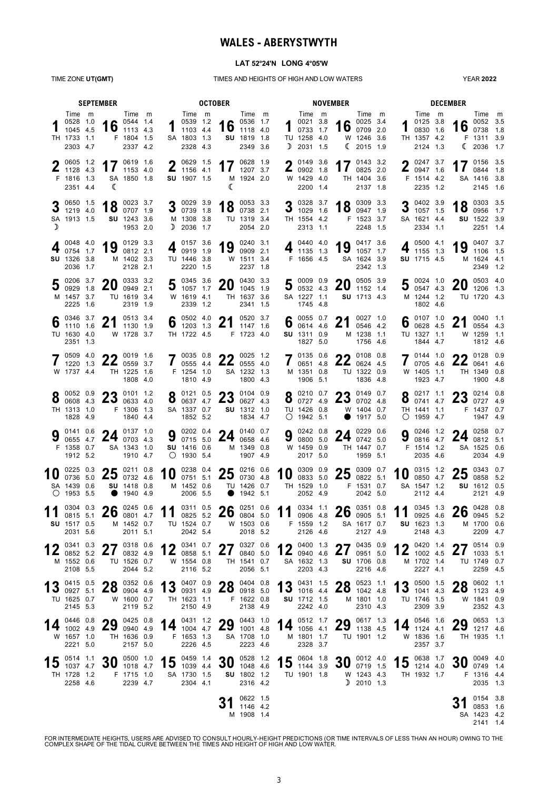## **WALES - ABERYSTWYTH**

#### **LAT 52°24'N LONG 4°05'W**

TIME ZONE **UT(GMT)** TIMES AND HEIGHTS OF HIGH AND LOW WATERS

YEAR **2022**

| <b>SEPTEMBER</b> |                                                                             |  |                                                     | <b>OCTOBER</b>                                                             |  |         |                                                                       |  |                                             |                                                        | <b>NOVEMBER</b> |                         |                                                                          |  |                         |                                                                            |  |                  | <b>DECEMBER</b>                                                         |                          |                                                                        |      |
|------------------|-----------------------------------------------------------------------------|--|-----------------------------------------------------|----------------------------------------------------------------------------|--|---------|-----------------------------------------------------------------------|--|---------------------------------------------|--------------------------------------------------------|-----------------|-------------------------|--------------------------------------------------------------------------|--|-------------------------|----------------------------------------------------------------------------|--|------------------|-------------------------------------------------------------------------|--------------------------|------------------------------------------------------------------------|------|
|                  | Time m<br>0528 1.0<br>1045 4.5<br>TH 1733 1.1<br>2303 4.7                   |  |                                                     | Time m<br>$\bullet$ 0544 1.4<br>16 $^{0544}$ 1.4<br>F 1804 1.5<br>2337 4.2 |  |         | Time m<br>0539 1.2<br>1103 4.4<br>SA 1803 1.3<br>2328 4.3             |  |                                             | Time m<br>16 $^{0536}$ 1.7<br>SU 1819 1.8<br>2349 3.6  |                 | D                       | Time m<br>0021 3.8<br>0733 1.7<br>TU 1258 4.0<br>2031 1.5                |  |                         | Time m<br>$\bullet$ 0025 3.4<br>16 $0025$ 3.4<br>W 1246 3.6<br>(2015, 1.9) |  | 1                | Time m<br>0125 3.8<br>0830 1.6<br>TH 1357 4.2<br>2124 1.3               |                          | Time m<br>0052 3.5<br>16 $0022$ 3.5<br>F 1311 3.9<br>$\binom{2036}{ }$ | 1.7  |
|                  | 0605 1.2<br>1128 4.3<br>F 1816 1.3<br>2351 4.4                              |  | 17<br>€                                             | 0619 1.6<br>1153 4.0<br>SA 1850 1.8                                        |  |         | $2^{0629}$ 1.5<br>1156 4.1<br>SU 1907 1.5                             |  | C                                           | 17 $^{0628}$ 1.9<br>M 1924 2.0                         |                 | ∩                       | 0149 3.6<br>$\frac{2}{1.8}$ 0902 1.8<br>W 1429 4.0<br>2200 1.4           |  | 17                      | 0143 3.2<br>0825 2.0<br>TH 1404 3.6<br>2137 1.8                            |  |                  | $\bullet$ 0247 3.7<br>$\frac{2}{16}$ 0947 1.6<br>F 1514 4.2<br>2235 1.2 | 17                       | 0156 3.5<br>0844 1.8<br>SA 1416 3.8<br>2145 1.6                        |      |
| D                | 0650 1.5<br>$3\degree$ 1219 4.0<br>SA 1913 1.5                              |  |                                                     | 18 $^{0023}$ 3.7<br>SU 1243 3.6<br>1953 2.0                                |  |         | 3 $\frac{0029}{0739}$ 1.8<br>M 1308 3.8<br>$D$ 2036 1.7               |  |                                             | $18$ 0053 3.3<br>TU 1319 3.4<br>2054 2.0               |                 | 3                       | 0328 3.7<br>1029 1.6<br>TH 1554 4.2<br>2313 1.1                          |  | 18                      | 0309 3.3<br>0947 1.9<br>F 1523 3.7<br>2248 1.5                             |  |                  | 0402 3.9<br>$5$ 1057 1.5<br>SA 1621 4.4<br>2334 1.1                     | 18                       | 0303 3.5<br>0956 1.7<br>SU 1522 3.9<br>2251 1.4                        |      |
|                  | 0048 4.0<br>0754 1.7<br>SU 1326 3.8<br>2036 1.7                             |  | 19                                                  | 0129 3.3<br>0812 2.1<br>M 1402 3.3<br>2128 2.1                             |  |         | 0157 3.6<br>0919 1.9<br>TU 1446 3.8<br>2220 1.5                       |  | 19                                          | 0240 3.1<br>0909 2.1<br>W 1511 3.4<br>2237 1.8         |                 |                         | 0440 4.0<br>$4 \tfrac{0440}{1135} \tfrac{13}{15}$<br>F 1656 4.5          |  | 19                      | 0417 3.6<br>1057 1.7<br>SA 1624 3.9<br>2342 1.3                            |  |                  | 0500 4.1<br>1155 1.3<br>SU 1715 4.5                                     | 19                       | 0407 3.7<br>1106 1.5<br>M 1624 4.1<br>2349 1.2                         |      |
|                  | 0206 3.7<br>0929 1.8<br>M 1457 3.7<br>2225 1.6                              |  | nη<br>ZU                                            | 0333 3.2<br>0949 2.1<br>TU 1619 3.4<br>2319 1.9                            |  |         | $5^{0345}$ 3.6<br>$3$ 1057 1.7<br>W 1619 4.1<br>2339 1.2              |  | 20                                          | 0430 3.3<br>1045 1.9<br>TH 1637 3.6<br>2341 1.5        |                 | IJ                      | $\blacksquare$ 0009 0.9<br>0532 4.3<br>SA 1227 1.1<br>1745 4.8           |  | nn.<br>ZU               | 0505 3.9<br>1152 1.4<br>SU 1713 4.3                                        |  |                  | 0024 1.0<br>30054743<br>M 1244 1.2<br>1802 4.6                          | n n<br>ZU                | 0503 4.0<br>1206<br>TU 1720 4.3                                        | 1.3  |
| b                | $\bullet$ 0346 3.7<br>1110 1.6<br>TU 1630 4.0<br>2351 1.3                   |  | 21                                                  | 0513 3.4<br>1130 1.9<br>W 1728 3.7                                         |  |         | 6 $\frac{0502}{1203}$ 4.0<br>TH 1722 4.5                              |  | 21                                          | 0520 3.7<br>1147 1.6<br>F 1723 4.0                     |                 | O                       | $\bullet$ 0055 0.7<br>0614 4.6<br>SU 1311 0.9<br>1827 5.0                |  | 21                      | 0027 1.0<br>0546 4.2<br>M 1238 1.1<br>1756 4.6                             |  | O                | $\bullet$ 0107 1.0<br>0628 4.5<br>TU 1327 1.1<br>1844 4.7               | 21                       | 0040 1.1<br>0554 4.3<br>W 1259 1.1<br>1812 4.6                         |      |
|                  | 0509 4.0<br>1220 1.3<br>W 1737 4.4                                          |  |                                                     | <b>22</b> 0019 1.6<br>$22$ 0559 3.7<br>TH 1225 1.6<br>1808 4.0             |  |         | $7^{0035}_{0555}$ $^{0.8}_{44}$<br>0555 4.4<br>F 1254 1.0<br>1810 4.9 |  | 22 $^{0025}$ 1.2                            | SA 1232 1.3<br>1800 4.3                                |                 |                         | $7^{0135}_{0651}$ $^{0.6}_{0.651}$<br>0651 4.8<br>M 1351 0.8<br>1906 5.1 |  |                         | 22 $^{0108}$ 0.8<br>TU 1322 0.9<br>1836 4.8                                |  |                  | $7^{0144}_{0705}$ 1.0<br>0705 4.6<br>W 1405 1.1<br>1923 4.7             |                          | 0128 0.9<br>$22^{0128}$ 0.9<br>TH 1349 0.8<br>1900 4.8                 |      |
| 8                | 0052 0.9<br>0608 4.3<br>TH 1313 1.0<br>1828 4.9                             |  |                                                     | $22$ 0101 1.2<br>250063340<br>F 1306 1.3<br>1840 4.4                       |  |         | 8 $^{0121}_{0637}$ $^{0.5}_{47}$<br>SA 1337 0.7<br>1852 5.2           |  |                                             | $22.0104$ 0.9<br>23006274.3<br>SU 1312 1.0<br>1834 4.7 |                 | ŏ                       | $O$ 0210 0.7<br>0727 4.9<br>TU 1426 0.8<br>$O$ 1942 5.1                  |  | $\bullet$               | $22.0149$ 0.7<br>250070248<br>W 1404 0.7<br>1917 5.0                       |  |                  | $8^{0217}$ 1.1<br>0741 4.7<br>TH 1441 1.1<br>$O$ 1959 4.7               | 25                       | <b>ባ</b> ባ 0214 0.8<br>0727 4.9<br>F 1437 0.7<br>1947 4.9              |      |
|                  | 0141 0.6<br>0655 4.7<br>F 1358 0.7<br>1912 5.2                              |  | 24 $^{0137}$ 1.0                                    | SA 1343 1.0<br>1910 4.7                                                    |  | $\circ$ | 9 $^{0202}_{0715}$ $^{0.4}_{7.7}$<br>SU 1416 0.6<br>1930 5.4          |  | 24 $^{0140}$ 0.7                            | M 1349 0.8<br>1907 4.9                                 |                 | ິ                       | 0242 0.8<br>0800 5.0<br>W 1459 0.9<br>2017 5.0                           |  | 24 $^{0229}$ 0.6        | TH 1447 0.7<br>1959 5.1                                                    |  |                  | 0246 1.2<br>9 $\frac{0246}{0816}$ 4.7<br>F 1514 1.2<br>2035 4.6         |                          | $\bigcap$ $\bigcap$ 0258 0.7<br>$24$ 0812 5.1<br>SA 1525 0.6<br>2034   | -4.9 |
|                  | 0225 0.3<br>0736 5.0<br>SA 1439 0.6<br>$O$ 1953 5.5                         |  | 25 $^{0211}$ 0.8                                    | SU 1418 0.8<br>• 1940 4.9                                                  |  | 10      | 0238 0.4<br>0751 5.1<br>M 1452 0.6<br>2006 5.5                        |  | 25 0216 0.6                                 | TU 1426 0.7<br>• 1942 5.1                              |                 |                         | 10 $^{0309}_{0833}$ 50<br>0833 5.0<br>TH 1529 1.0<br>2052 4.9            |  | $25^{0309}$ 0.7         | F 1531 0.7<br>2042 5.0                                                     |  | 10               | 0315 1.2<br>0850 4.7<br>SA 1547 1.2<br>2112 4.4                         | 25                       | 0343 0.7<br>0858 5.2<br>SU 1612 0.5<br>2121 4.9                        |      |
|                  | <b>SU</b> 1517 0.5<br>2031 5.6                                              |  | $^{0304}_{0815}$ 5.1 <b>26</b> $^{0245}_{0801}$ 4.7 | M 1452 0.7<br>2011 5.1                                                     |  |         | TU 1524 0.7<br>2042 5.4                                               |  | 11 $^{0311}$ $^{0.5}$ 26 $^{0251}$ $^{0.6}$ | W 1503 0.6<br>2018 5.2                                 |                 | 11 0334 1.1 26 0351 0.8 | F 1559 1.2<br>2126 4.6                                                   |  |                         | SA 1617 0.7<br>2127 4.9                                                    |  | 11 $^{0345}$ 1.3 | 0345 1.3<br><b>SU</b> 1623 1.3<br>2148 4.3                              | $26^{0428}_{0945}$ $5.2$ | 0428 0.8<br>M 1700 0.6<br>2209 4.7                                     |      |
|                  | 0341 0.3<br>12 $\frac{0.04 + 0.05}{0.0852 + 5.2}$<br>M 1552 0.6<br>2108 5.5 |  | 27<br>$\mathbf{Z}$                                  | 0318 0.6<br>0832 4.9<br>TU 1526 0.7<br>2044 5.2                            |  |         | $4 \bullet 0341 0.7$<br>$12$ 0858 5.1<br>W 1554 0.8<br>2116 5.2       |  | 27 $^{0327}$ 0.6                            | TH 1541 0.7<br>2056 5.1                                |                 |                         | 12 0940 4.6<br>SA 1632 1.3<br>2203 4.3                                   |  | 27 $^{0435}$ $^{0.9}$   | SU 1706 0.8<br>2216 4.6                                                    |  |                  | $4 \bullet 0420 1.4$<br>$12$ 1002 4.5<br>M 1702 1.4<br>2227 4.1         | 67<br><b>Z</b>           | 0514 0.9<br>1033 5.1<br>TU 1749 0.7<br>2259 4.5                        |      |
|                  | $13$ $0927$ 5.1<br>TU 1625 0.7<br>2145 5.3                                  |  | $2^{0415}$ 0.5 $20^{0352}$ 0.6<br>$20$ 0904 4.9     | W 1600 0.7<br>2119 5.2                                                     |  |         | $13$ 0407 0.9<br>TH 1623 1.1<br>2150 4.9                              |  | $28^{0404}_{0918}$ 5.0                      | F 1622 0.8<br>2138 4.9                                 |                 |                         | $13$ $^{0431}$ $^{1.5}$<br>SU 1712 1.5<br>2242 4.0                       |  | $28^{0523}$ 1.1         | M 1801 1.0<br>2310 4.3                                                     |  |                  | 13 $^{0500}$ 1.5<br>TU 1746 1.5<br>2309 3.9                             |                          | $20$ 0602 1.1<br>$20$ 1123 4.9<br>W 1841 0.9<br>2352 4.3               |      |
|                  | 0446 0.8<br>14 $1002$ 4.9<br>W 1657 1.0<br>2221 5.0                         |  | 29 $^{0425}$ $^{0.8}$                               | TH 1636 0.9<br>2157 5.0                                                    |  |         | F 1653 1.3<br>2226 4.5                                                |  | 14 $^{0431}$ 1.2 29 $^{0443}$ 1.0           | SA 1708 1.0<br>2223 4.6                                |                 |                         | M 1801 1.7<br>2328 3.7                                                   |  | 14 0512 1.7 29 0617 1.3 | TU 1901 1.2                                                                |  |                  | 14 $^{0546}$ 1.6<br>W 1836 1.6<br>2357 3.7                              |                          | $29^{0653}$ 1.3<br>TH 1935 1.1                                         |      |
|                  | 15 $\frac{0514}{1037}$ 4.7<br>TH 1728 1.2<br>2258 4.6                       |  | 30                                                  | 0500 1.0<br>1018 4.7<br>F 1715 1.0<br>2239 4.7                             |  |         | $15$ $^{0459}$ $^{1.4}$<br>SA 1730 1.5<br>2304 4.1                    |  | $30$ $^{0528}$ $^{1.2}$ $^{1.2}$            | <b>SU</b> 1802 1.2<br>2316 4.2                         |                 |                         | 15 $^{0604}$ 1.8<br>TU 1901 1.8                                          |  | $30^{0012}$ 4.0         | 0012 4.0<br>W 1243 4.3<br>$D$ 2010 1.3                                     |  |                  | $15$ $^{0638}$ $^{1.7}$<br>TH 1932 1.7                                  |                          | 0049 4.0<br>$30^{0049}_{0749}$ 1.4<br>F 1316 4.4<br>2035 1.3           |      |
|                  |                                                                             |  |                                                     |                                                                            |  |         |                                                                       |  |                                             | 0622 1.5<br>1146 4.2<br>M 1908 1.4                     |                 |                         |                                                                          |  |                         |                                                                            |  |                  |                                                                         |                          | 0154 3.8<br>0853 1.6<br>SA 1423 4.2<br>2141 1.4                        |      |

FOR INTERMEDIATE HEIGHTS, USERS ARE ADVISED TO CONSULT HOURLY-HEIGHT PREDICTIONS (OR TIME INTERVALS OF LESS THAN AN HOUR) OWING TO THE<br>COMPLEX SHAPE OF THE TIDAL CURVE BETWEEN THE TIMES AND HEIGHT OF HIGH AND LOW WATER.